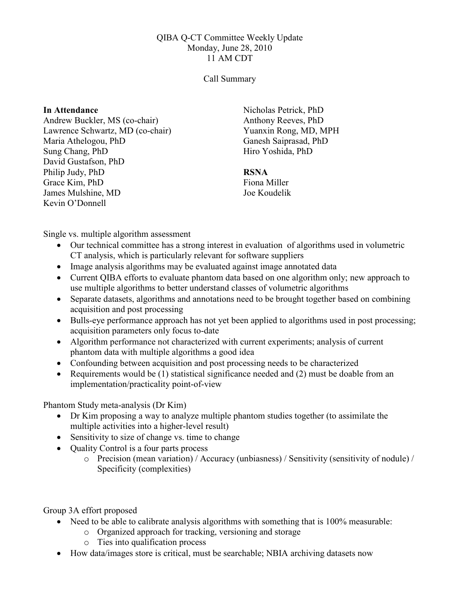## QIBA Q-CT Committee Weekly Update Monday, June 28, 2010 11 AM CDT

## Call Summary

## In Attendance

Andrew Buckler, MS (co-chair) Lawrence Schwartz, MD (co-chair) Maria Athelogou, PhD Sung Chang, PhD David Gustafson, PhD Philip Judy, PhD Grace Kim, PhD James Mulshine, MD Kevin O'Donnell

Nicholas Petrick, PhD Anthony Reeves, PhD Yuanxin Rong, MD, MPH Ganesh Saiprasad, PhD Hiro Yoshida, PhD

## RSNA

Fiona Miller Joe Koudelik

Single vs. multiple algorithm assessment

- Our technical committee has a strong interest in evaluation of algorithms used in volumetric CT analysis, which is particularly relevant for software suppliers
- Image analysis algorithms may be evaluated against image annotated data
- Current QIBA efforts to evaluate phantom data based on one algorithm only; new approach to use multiple algorithms to better understand classes of volumetric algorithms
- Separate datasets, algorithms and annotations need to be brought together based on combining acquisition and post processing
- Bulls-eye performance approach has not yet been applied to algorithms used in post processing; acquisition parameters only focus to-date
- Algorithm performance not characterized with current experiments; analysis of current phantom data with multiple algorithms a good idea
- Confounding between acquisition and post processing needs to be characterized
- Requirements would be (1) statistical significance needed and (2) must be doable from an implementation/practicality point-of-view

Phantom Study meta-analysis (Dr Kim)

- Dr Kim proposing a way to analyze multiple phantom studies together (to assimilate the multiple activities into a higher-level result)
- Sensitivity to size of change vs. time to change
- Quality Control is a four parts process
	- o Precision (mean variation) / Accuracy (unbiasness) / Sensitivity (sensitivity of nodule) / Specificity (complexities)

Group 3A effort proposed

- Need to be able to calibrate analysis algorithms with something that is 100% measurable:
	- o Organized approach for tracking, versioning and storage
	- o Ties into qualification process
- How data/images store is critical, must be searchable; NBIA archiving datasets now